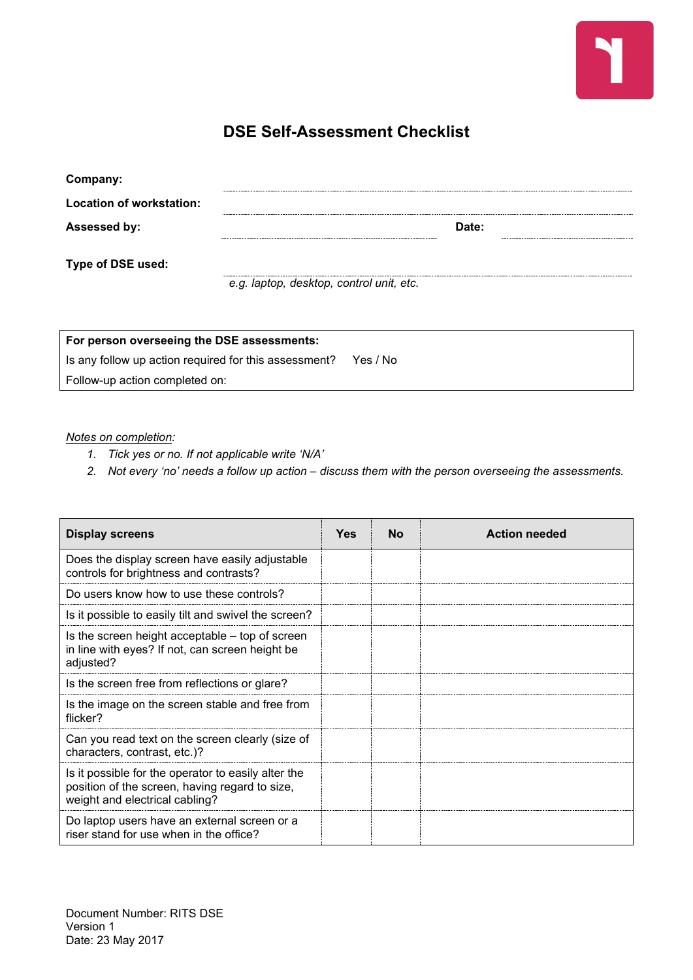

## **DSE Self-Assessment Checklist**

| Company:                 |                                          |
|--------------------------|------------------------------------------|
| Location of workstation: |                                          |
| Assessed by:             | Date:                                    |
|                          |                                          |
| Type of DSE used:        |                                          |
|                          | e.g. laptop, desktop, control unit, etc. |

| For person overseeing the DSE assessments:            |          |
|-------------------------------------------------------|----------|
| Is any follow up action required for this assessment? | Yes / No |
| Follow-up action completed on:                        |          |

## *Notes on completion:*

- *1. Tick yes or no. If not applicable write 'N/A'*
- *2. Not every 'no' needs a follow up action – discuss them with the person overseeing the assessments.*

| <b>Display screens</b>                                                                                                                  | <b>Yes</b> | Nο | <b>Action needed</b> |
|-----------------------------------------------------------------------------------------------------------------------------------------|------------|----|----------------------|
| Does the display screen have easily adjustable<br>controls for brightness and contrasts?                                                |            |    |                      |
| Do users know how to use these controls?                                                                                                |            |    |                      |
| Is it possible to easily tilt and swivel the screen?                                                                                    |            |    |                      |
| Is the screen height acceptable – top of screen<br>in line with eyes? If not, can screen height be<br>adjusted?                         |            |    |                      |
| Is the screen free from reflections or glare?                                                                                           |            |    |                      |
| Is the image on the screen stable and free from<br>flicker?                                                                             |            |    |                      |
| Can you read text on the screen clearly (size of<br>characters, contrast, etc.)?                                                        |            |    |                      |
| Is it possible for the operator to easily alter the<br>position of the screen, having regard to size,<br>weight and electrical cabling? |            |    |                      |
| Do laptop users have an external screen or a<br>riser stand for use when in the office?                                                 |            |    |                      |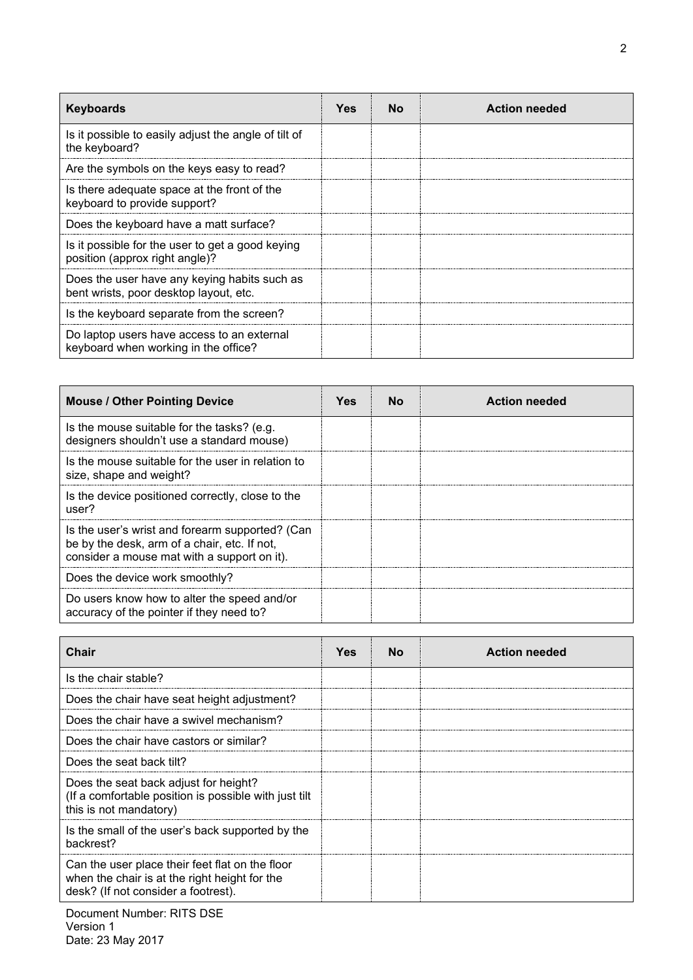| <b>Keyboards</b>                                                                       | Yes | N٥ | <b>Action needed</b> |
|----------------------------------------------------------------------------------------|-----|----|----------------------|
| Is it possible to easily adjust the angle of tilt of<br>the keyboard?                  |     |    |                      |
| Are the symbols on the keys easy to read?                                              |     |    |                      |
| Is there adequate space at the front of the<br>keyboard to provide support?            |     |    |                      |
| Does the keyboard have a matt surface?                                                 |     |    |                      |
| Is it possible for the user to get a good keying<br>position (approx right angle)?     |     |    |                      |
| Does the user have any keying habits such as<br>bent wrists, poor desktop layout, etc. |     |    |                      |
| Is the keyboard separate from the screen?                                              |     |    |                      |
| Do laptop users have access to an external<br>keyboard when working in the office?     |     |    |                      |

| <b>Mouse / Other Pointing Device</b>                                                                                                           | Yes | N٥ | <b>Action needed</b> |
|------------------------------------------------------------------------------------------------------------------------------------------------|-----|----|----------------------|
| Is the mouse suitable for the tasks? (e.g.<br>designers shouldn't use a standard mouse)                                                        |     |    |                      |
| Is the mouse suitable for the user in relation to<br>size, shape and weight?                                                                   |     |    |                      |
| Is the device positioned correctly, close to the<br>user?                                                                                      |     |    |                      |
| Is the user's wrist and forearm supported? (Can<br>be by the desk, arm of a chair, etc. If not,<br>consider a mouse mat with a support on it). |     |    |                      |
| Does the device work smoothly?                                                                                                                 |     |    |                      |
| Do users know how to alter the speed and/or<br>accuracy of the pointer if they need to?                                                        |     |    |                      |

| Chair                                                                                                                                   | Yes | N٥ | <b>Action needed</b> |
|-----------------------------------------------------------------------------------------------------------------------------------------|-----|----|----------------------|
| Is the chair stable?                                                                                                                    |     |    |                      |
| Does the chair have seat height adjustment?                                                                                             |     |    |                      |
| Does the chair have a swivel mechanism?                                                                                                 |     |    |                      |
| Does the chair have castors or similar?                                                                                                 |     |    |                      |
| Does the seat back tilt?                                                                                                                |     |    |                      |
| Does the seat back adjust for height?<br>(If a comfortable position is possible with just tilt)<br>this is not mandatory)               |     |    |                      |
| Is the small of the user's back supported by the<br>backrest?                                                                           |     |    |                      |
| Can the user place their feet flat on the floor<br>when the chair is at the right height for the<br>desk? (If not consider a footrest). |     |    |                      |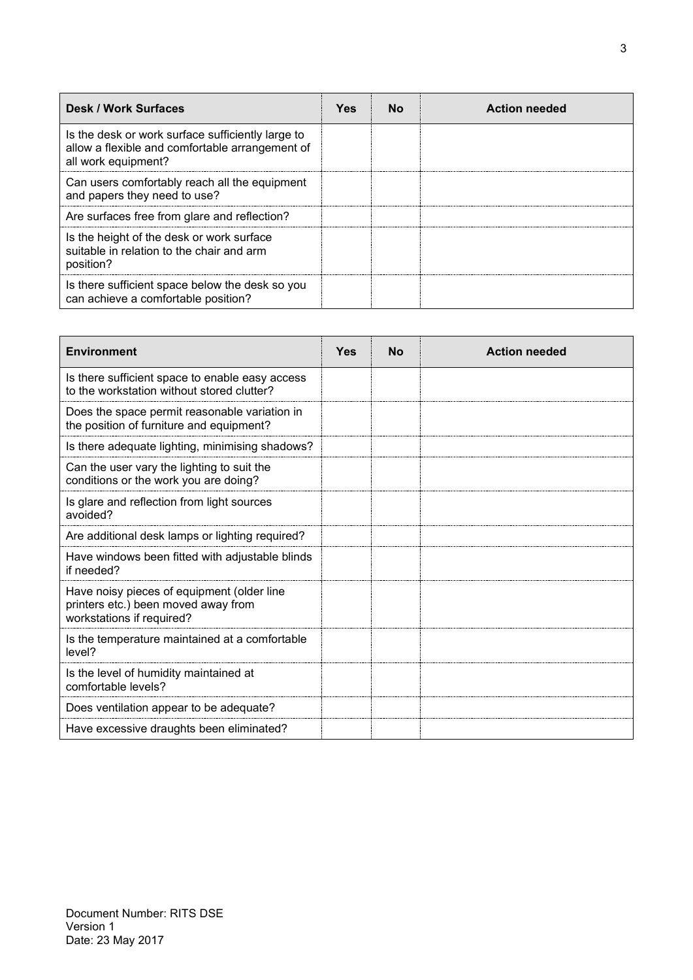| <b>Desk / Work Surfaces</b>                                                                                                 | Yes | N٥ | <b>Action needed</b> |
|-----------------------------------------------------------------------------------------------------------------------------|-----|----|----------------------|
| Is the desk or work surface sufficiently large to<br>allow a flexible and comfortable arrangement of<br>all work equipment? |     |    |                      |
| Can users comfortably reach all the equipment<br>and papers they need to use?                                               |     |    |                      |
| Are surfaces free from glare and reflection?                                                                                |     |    |                      |
| Is the height of the desk or work surface<br>suitable in relation to the chair and arm<br>position?                         |     |    |                      |
| Is there sufficient space below the desk so you<br>can achieve a comfortable position?                                      |     |    |                      |

| <b>Environment</b>                                                                                             | Yes | NΩ | <b>Action needed</b> |
|----------------------------------------------------------------------------------------------------------------|-----|----|----------------------|
| Is there sufficient space to enable easy access<br>to the workstation without stored clutter?                  |     |    |                      |
| Does the space permit reasonable variation in<br>the position of furniture and equipment?                      |     |    |                      |
| Is there adequate lighting, minimising shadows?                                                                |     |    |                      |
| Can the user vary the lighting to suit the<br>conditions or the work you are doing?                            |     |    |                      |
| Is glare and reflection from light sources<br>avoided?                                                         |     |    |                      |
| Are additional desk lamps or lighting required?                                                                |     |    |                      |
| Have windows been fitted with adjustable blinds<br>if needed?                                                  |     |    |                      |
| Have noisy pieces of equipment (older line<br>printers etc.) been moved away from<br>workstations if required? |     |    |                      |
| Is the temperature maintained at a comfortable<br>level?                                                       |     |    |                      |
| Is the level of humidity maintained at<br>comfortable levels?                                                  |     |    |                      |
| Does ventilation appear to be adequate?                                                                        |     |    |                      |
| Have excessive draughts been eliminated?                                                                       |     |    |                      |